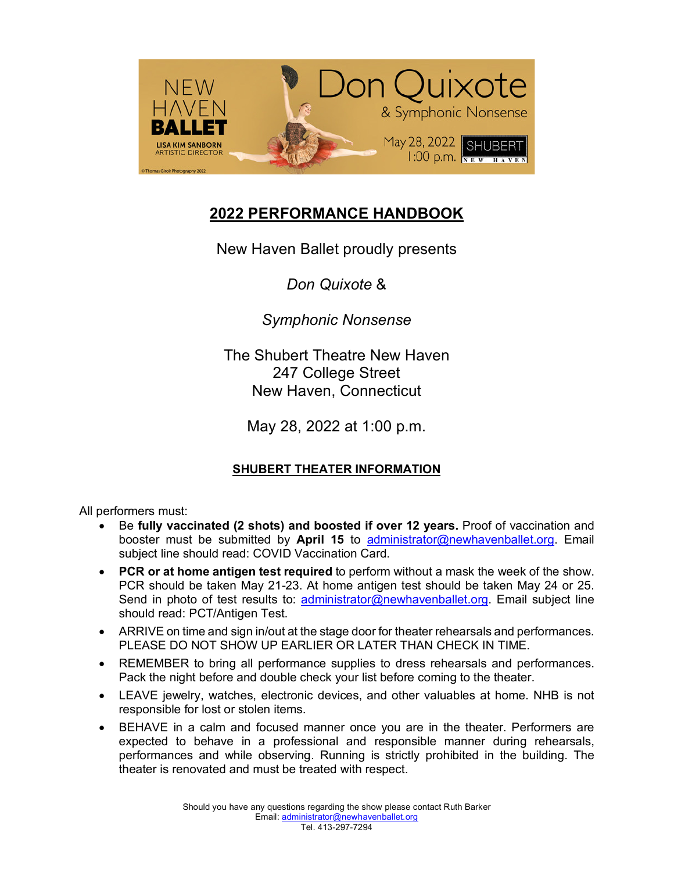

# **2022 PERFORMANCE HANDBOOK**

New Haven Ballet proudly presents

*Don Quixote* &

*Symphonic Nonsense*

The Shubert Theatre New Haven 247 College Street New Haven, Connecticut

May 28, 2022 at 1:00 p.m.

# **SHUBERT THEATER INFORMATION**

All performers must:

- Be **fully vaccinated (2 shots) and boosted if over 12 years.** Proof of vaccination and booster must be submitted by **April 15** to administrator@newhavenballet.org. Email subject line should read: COVID Vaccination Card.
- **PCR or at home antigen test required** to perform without a mask the week of the show. PCR should be taken May 21-23. At home antigen test should be taken May 24 or 25. Send in photo of test results to: administrator@newhavenballet.org. Email subject line should read: PCT/Antigen Test.
- ARRIVE on time and sign in/out at the stage door for theater rehearsals and performances. PLEASE DO NOT SHOW UP EARLIER OR LATER THAN CHECK IN TIME.
- REMEMBER to bring all performance supplies to dress rehearsals and performances. Pack the night before and double check your list before coming to the theater.
- LEAVE jewelry, watches, electronic devices, and other valuables at home. NHB is not responsible for lost or stolen items.
- BEHAVE in a calm and focused manner once you are in the theater. Performers are expected to behave in a professional and responsible manner during rehearsals, performances and while observing. Running is strictly prohibited in the building. The theater is renovated and must be treated with respect.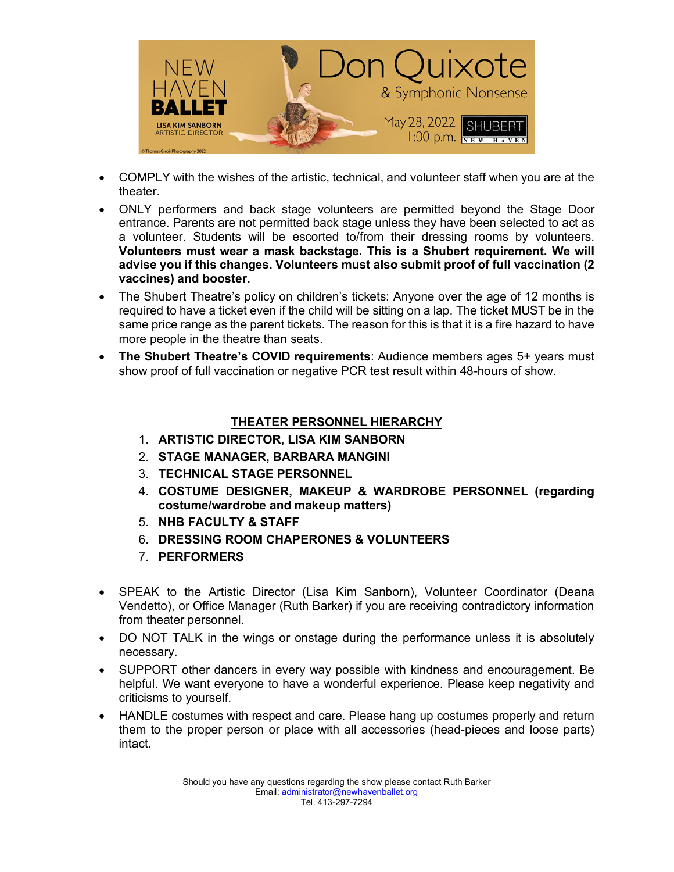

- COMPLY with the wishes of the artistic, technical, and volunteer staff when you are at the theater.
- ONLY performers and back stage volunteers are permitted beyond the Stage Door entrance. Parents are not permitted back stage unless they have been selected to act as a volunteer. Students will be escorted to/from their dressing rooms by volunteers. **Volunteers must wear a mask backstage. This is a Shubert requirement. We will advise you if this changes. Volunteers must also submit proof of full vaccination (2 vaccines) and booster.**
- The Shubert Theatre's policy on children's tickets: Anyone over the age of 12 months is required to have a ticket even if the child will be sitting on a lap. The ticket MUST be in the same price range as the parent tickets. The reason for this is that it is a fire hazard to have more people in the theatre than seats.
- **The Shubert Theatre's COVID requirements**: Audience members ages 5+ years must show proof of full vaccination or negative PCR test result within 48-hours of show.

## **THEATER PERSONNEL HIERARCHY**

- 1. **ARTISTIC DIRECTOR, LISA KIM SANBORN**
- 2. **STAGE MANAGER, BARBARA MANGINI**
- 3. **TECHNICAL STAGE PERSONNEL**
- 4. **COSTUME DESIGNER, MAKEUP & WARDROBE PERSONNEL (regarding costume/wardrobe and makeup matters)**
- 5. **NHB FACULTY & STAFF**
- 6. **DRESSING ROOM CHAPERONES & VOLUNTEERS**
- 7. **PERFORMERS**
- SPEAK to the Artistic Director (Lisa Kim Sanborn), Volunteer Coordinator (Deana Vendetto), or Office Manager (Ruth Barker) if you are receiving contradictory information from theater personnel.
- DO NOT TALK in the wings or onstage during the performance unless it is absolutely necessary.
- SUPPORT other dancers in every way possible with kindness and encouragement. Be helpful. We want everyone to have a wonderful experience. Please keep negativity and criticisms to yourself.
- HANDLE costumes with respect and care. Please hang up costumes properly and return them to the proper person or place with all accessories (head-pieces and loose parts) intact.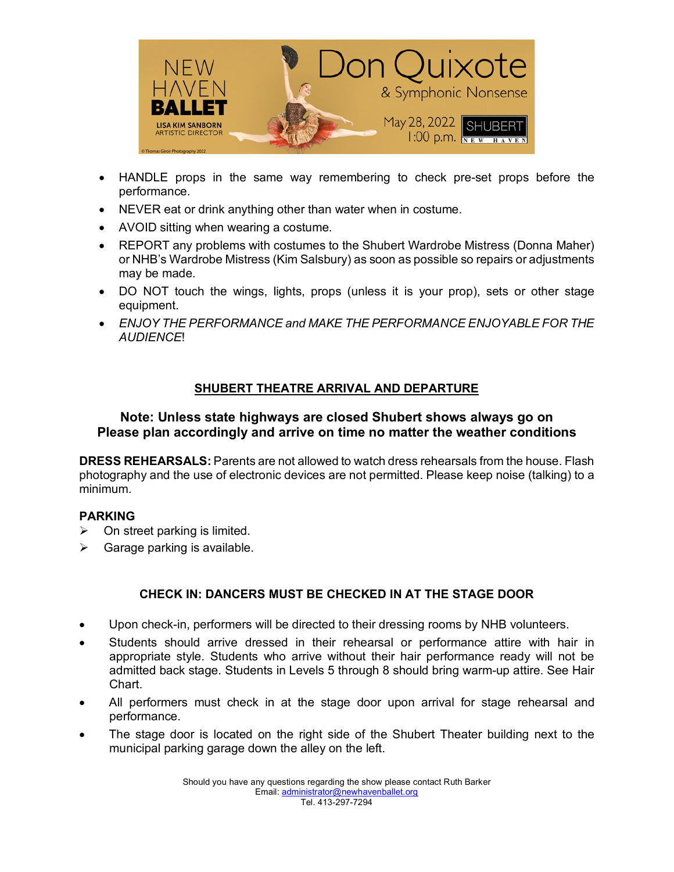

- HANDLE props in the same way remembering to check pre-set props before the performance.
- NEVER eat or drink anything other than water when in costume.
- AVOID sitting when wearing a costume.
- REPORT any problems with costumes to the Shubert Wardrobe Mistress (Donna Maher) or NHB's Wardrobe Mistress (Kim Salsbury) as soon as possible so repairs or adjustments may be made.
- DO NOT touch the wings, lights, props (unless it is your prop), sets or other stage equipment.
- *ENJOY THE PERFORMANCE and MAKE THE PERFORMANCE ENJOYABLE FOR THE AUDIENCE*!

### **SHUBERT THEATRE ARRIVAL AND DEPARTURE**

### **Note: Unless state highways are closed Shubert shows always go on Please plan accordingly and arrive on time no matter the weather conditions**

**DRESS REHEARSALS:** Parents are not allowed to watch dress rehearsals from the house. Flash photography and the use of electronic devices are not permitted. Please keep noise (talking) to a minimum.

### **PARKING**

- $\triangleright$  On street parking is limited.
- $\triangleright$  Garage parking is available.

### **CHECK IN: DANCERS MUST BE CHECKED IN AT THE STAGE DOOR**

- Upon check-in, performers will be directed to their dressing rooms by NHB volunteers.
- Students should arrive dressed in their rehearsal or performance attire with hair in appropriate style. Students who arrive without their hair performance ready will not be admitted back stage. Students in Levels 5 through 8 should bring warm-up attire. See Hair Chart.
- All performers must check in at the stage door upon arrival for stage rehearsal and performance.
- The stage door is located on the right side of the Shubert Theater building next to the municipal parking garage down the alley on the left.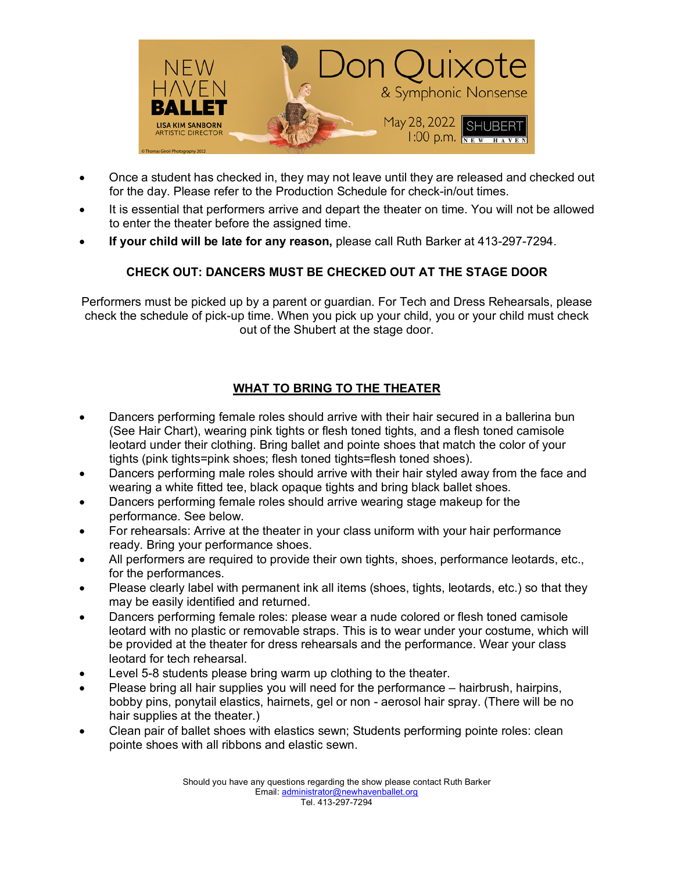

- Once a student has checked in, they may not leave until they are released and checked out for the day. Please refer to the Production Schedule for check-in/out times.
- It is essential that performers arrive and depart the theater on time. You will not be allowed to enter the theater before the assigned time.
- **If your child will be late for any reason,** please call Ruth Barker at 413-297-7294.

## **CHECK OUT: DANCERS MUST BE CHECKED OUT AT THE STAGE DOOR**

Performers must be picked up by a parent or guardian. For Tech and Dress Rehearsals, please check the schedule of pick-up time. When you pick up your child, you or your child must check out of the Shubert at the stage door.

# **WHAT TO BRING TO THE THEATER**

- Dancers performing female roles should arrive with their hair secured in a ballerina bun (See Hair Chart), wearing pink tights or flesh toned tights, and a flesh toned camisole leotard under their clothing. Bring ballet and pointe shoes that match the color of your tights (pink tights=pink shoes; flesh toned tights=flesh toned shoes).
- Dancers performing male roles should arrive with their hair styled away from the face and wearing a white fitted tee, black opaque tights and bring black ballet shoes.
- Dancers performing female roles should arrive wearing stage makeup for the performance. See below.
- For rehearsals: Arrive at the theater in your class uniform with your hair performance ready. Bring your performance shoes.
- All performers are required to provide their own tights, shoes, performance leotards, etc., for the performances.
- Please clearly label with permanent ink all items (shoes, tights, leotards, etc.) so that they may be easily identified and returned.
- Dancers performing female roles: please wear a nude colored or flesh toned camisole leotard with no plastic or removable straps. This is to wear under your costume, which will be provided at the theater for dress rehearsals and the performance. Wear your class leotard for tech rehearsal.
- Level 5-8 students please bring warm up clothing to the theater.
- Please bring all hair supplies you will need for the performance hairbrush, hairpins, bobby pins, ponytail elastics, hairnets, gel or non - aerosol hair spray. (There will be no hair supplies at the theater.)
- Clean pair of ballet shoes with elastics sewn; Students performing pointe roles: clean pointe shoes with all ribbons and elastic sewn.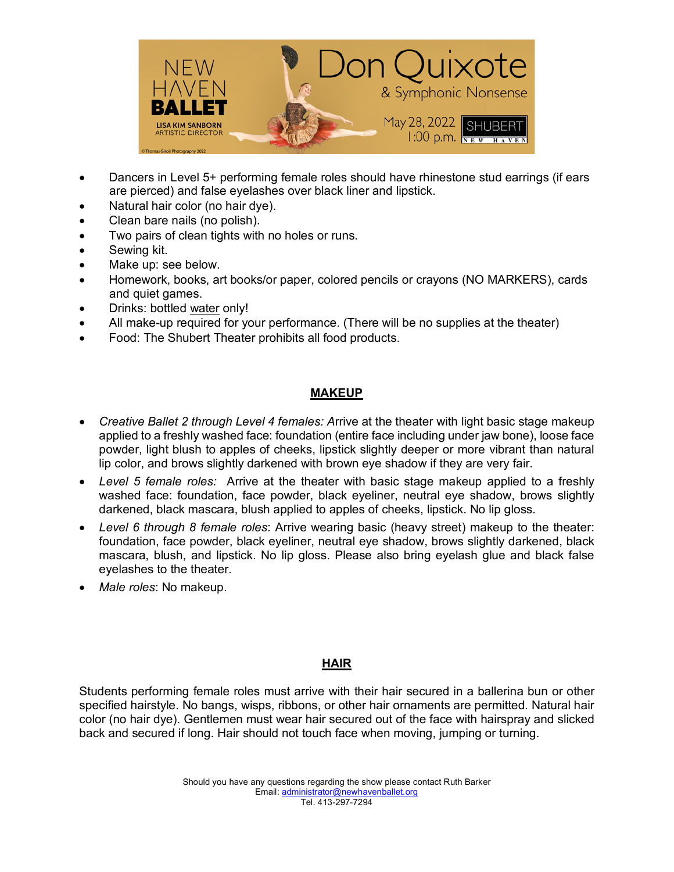

- Dancers in Level 5+ performing female roles should have rhinestone stud earrings (if ears are pierced) and false eyelashes over black liner and lipstick.
- Natural hair color (no hair dye).
- Clean bare nails (no polish).
- Two pairs of clean tights with no holes or runs.
- Sewing kit.
- Make up: see below.
- Homework, books, art books/or paper, colored pencils or crayons (NO MARKERS), cards and quiet games.
- Drinks: bottled water only!
- All make-up required for your performance. (There will be no supplies at the theater)
- Food: The Shubert Theater prohibits all food products.

### **MAKEUP**

- *Creative Ballet 2 through Level 4 females: A*rrive at the theater with light basic stage makeup applied to a freshly washed face: foundation (entire face including under jaw bone), loose face powder, light blush to apples of cheeks, lipstick slightly deeper or more vibrant than natural lip color, and brows slightly darkened with brown eye shadow if they are very fair.
- *Level 5 female roles:* Arrive at the theater with basic stage makeup applied to a freshly washed face: foundation, face powder, black eyeliner, neutral eye shadow, brows slightly darkened, black mascara, blush applied to apples of cheeks, lipstick. No lip gloss.
- *Level 6 through 8 female roles*: Arrive wearing basic (heavy street) makeup to the theater: foundation, face powder, black eyeliner, neutral eye shadow, brows slightly darkened, black mascara, blush, and lipstick. No lip gloss. Please also bring eyelash glue and black false eyelashes to the theater.
- *Male roles*: No makeup.

## **HAIR**

Students performing female roles must arrive with their hair secured in a ballerina bun or other specified hairstyle. No bangs, wisps, ribbons, or other hair ornaments are permitted. Natural hair color (no hair dye). Gentlemen must wear hair secured out of the face with hairspray and slicked back and secured if long. Hair should not touch face when moving, jumping or turning.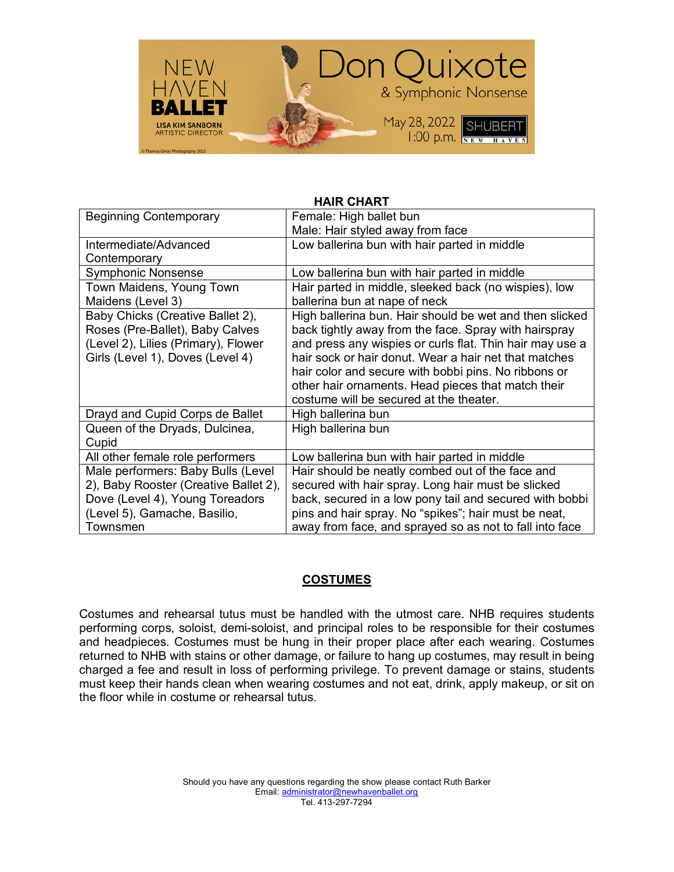

| <b>HAIR CHART</b>                     |                                                          |
|---------------------------------------|----------------------------------------------------------|
| <b>Beginning Contemporary</b>         | Female: High ballet bun                                  |
|                                       | Male: Hair styled away from face                         |
| Intermediate/Advanced                 | Low ballerina bun with hair parted in middle             |
| Contemporary                          |                                                          |
| <b>Symphonic Nonsense</b>             | Low ballerina bun with hair parted in middle             |
| Town Maidens, Young Town              | Hair parted in middle, sleeked back (no wispies), low    |
| Maidens (Level 3)                     | ballerina bun at nape of neck                            |
| Baby Chicks (Creative Ballet 2),      | High ballerina bun. Hair should be wet and then slicked  |
| Roses (Pre-Ballet), Baby Calves       | back tightly away from the face. Spray with hairspray    |
| (Level 2), Lilies (Primary), Flower   | and press any wispies or curls flat. Thin hair may use a |
| Girls (Level 1), Doves (Level 4)      | hair sock or hair donut. Wear a hair net that matches    |
|                                       | hair color and secure with bobbi pins. No ribbons or     |
|                                       | other hair ornaments. Head pieces that match their       |
|                                       | costume will be secured at the theater.                  |
| Drayd and Cupid Corps de Ballet       | High ballerina bun                                       |
| Queen of the Dryads, Dulcinea,        | High ballerina bun                                       |
| Cupid                                 |                                                          |
| All other female role performers      | Low ballerina bun with hair parted in middle             |
| Male performers: Baby Bulls (Level    | Hair should be neatly combed out of the face and         |
| 2), Baby Rooster (Creative Ballet 2), | secured with hair spray. Long hair must be slicked       |
| Dove (Level 4), Young Toreadors       | back, secured in a low pony tail and secured with bobbi  |
| (Level 5), Gamache, Basilio,          | pins and hair spray. No "spikes"; hair must be neat,     |
| Townsmen                              | away from face, and sprayed so as not to fall into face  |

### **COSTUMES**

Costumes and rehearsal tutus must be handled with the utmost care. NHB requires students performing corps, soloist, demi-soloist, and principal roles to be responsible for their costumes and headpieces. Costumes must be hung in their proper place after each wearing. Costumes returned to NHB with stains or other damage, or failure to hang up costumes, may result in being charged a fee and result in loss of performing privilege. To prevent damage or stains, students must keep their hands clean when wearing costumes and not eat, drink, apply makeup, or sit on the floor while in costume or rehearsal tutus.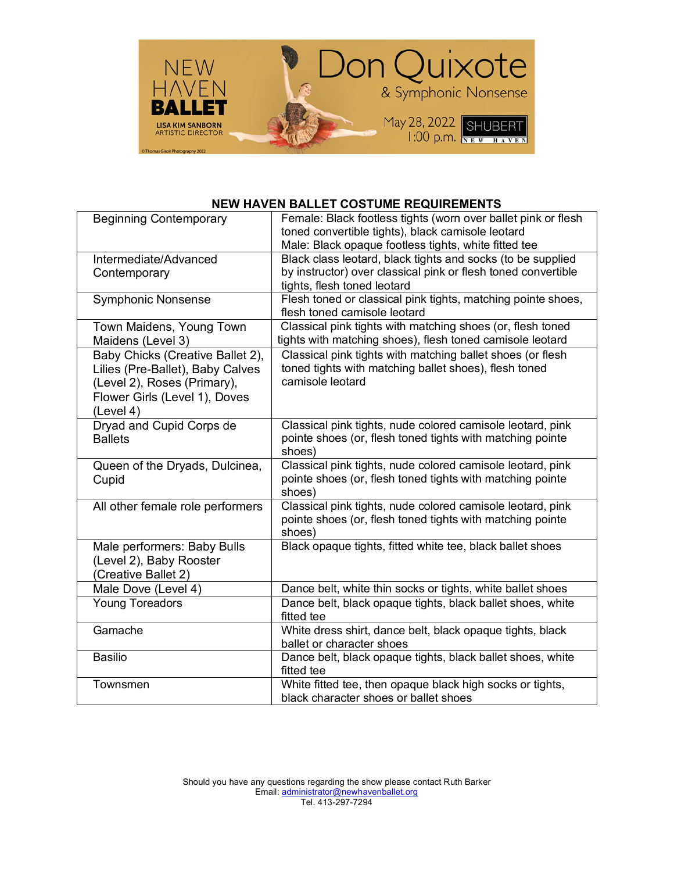

#### **NEW HAVEN BALLET COSTUME REQUIREMENTS**

| Female: Black footless tights (worn over ballet pink or flesh<br><b>Beginning Contemporary</b><br>toned convertible tights), black camisole leotard<br>Male: Black opaque footless tights, white fitted tee<br>Black class leotard, black tights and socks (to be supplied<br>Intermediate/Advanced<br>by instructor) over classical pink or flesh toned convertible<br>Contemporary<br>tights, flesh toned leotard<br>Flesh toned or classical pink tights, matching pointe shoes,<br><b>Symphonic Nonsense</b><br>flesh toned camisole leotard |
|--------------------------------------------------------------------------------------------------------------------------------------------------------------------------------------------------------------------------------------------------------------------------------------------------------------------------------------------------------------------------------------------------------------------------------------------------------------------------------------------------------------------------------------------------|
|                                                                                                                                                                                                                                                                                                                                                                                                                                                                                                                                                  |
|                                                                                                                                                                                                                                                                                                                                                                                                                                                                                                                                                  |
|                                                                                                                                                                                                                                                                                                                                                                                                                                                                                                                                                  |
|                                                                                                                                                                                                                                                                                                                                                                                                                                                                                                                                                  |
|                                                                                                                                                                                                                                                                                                                                                                                                                                                                                                                                                  |
|                                                                                                                                                                                                                                                                                                                                                                                                                                                                                                                                                  |
|                                                                                                                                                                                                                                                                                                                                                                                                                                                                                                                                                  |
|                                                                                                                                                                                                                                                                                                                                                                                                                                                                                                                                                  |
| Town Maidens, Young Town<br>Classical pink tights with matching shoes (or, flesh toned                                                                                                                                                                                                                                                                                                                                                                                                                                                           |
| tights with matching shoes), flesh toned camisole leotard<br>Maidens (Level 3)                                                                                                                                                                                                                                                                                                                                                                                                                                                                   |
| Classical pink tights with matching ballet shoes (or flesh<br>Baby Chicks (Creative Ballet 2),                                                                                                                                                                                                                                                                                                                                                                                                                                                   |
| toned tights with matching ballet shoes), flesh toned<br>Lilies (Pre-Ballet), Baby Calves                                                                                                                                                                                                                                                                                                                                                                                                                                                        |
| camisole leotard<br>(Level 2), Roses (Primary),                                                                                                                                                                                                                                                                                                                                                                                                                                                                                                  |
| Flower Girls (Level 1), Doves                                                                                                                                                                                                                                                                                                                                                                                                                                                                                                                    |
| (Level 4)                                                                                                                                                                                                                                                                                                                                                                                                                                                                                                                                        |
| Classical pink tights, nude colored camisole leotard, pink                                                                                                                                                                                                                                                                                                                                                                                                                                                                                       |
| Dryad and Cupid Corps de<br>pointe shoes (or, flesh toned tights with matching pointe<br><b>Ballets</b>                                                                                                                                                                                                                                                                                                                                                                                                                                          |
| shoes)                                                                                                                                                                                                                                                                                                                                                                                                                                                                                                                                           |
|                                                                                                                                                                                                                                                                                                                                                                                                                                                                                                                                                  |
| Classical pink tights, nude colored camisole leotard, pink<br>Queen of the Dryads, Dulcinea,                                                                                                                                                                                                                                                                                                                                                                                                                                                     |
| pointe shoes (or, flesh toned tights with matching pointe<br>Cupid                                                                                                                                                                                                                                                                                                                                                                                                                                                                               |
| shoes)                                                                                                                                                                                                                                                                                                                                                                                                                                                                                                                                           |
| Classical pink tights, nude colored camisole leotard, pink<br>All other female role performers                                                                                                                                                                                                                                                                                                                                                                                                                                                   |
| pointe shoes (or, flesh toned tights with matching pointe                                                                                                                                                                                                                                                                                                                                                                                                                                                                                        |
| shoes)                                                                                                                                                                                                                                                                                                                                                                                                                                                                                                                                           |
| Black opaque tights, fitted white tee, black ballet shoes<br>Male performers: Baby Bulls                                                                                                                                                                                                                                                                                                                                                                                                                                                         |
| (Level 2), Baby Rooster                                                                                                                                                                                                                                                                                                                                                                                                                                                                                                                          |
| (Creative Ballet 2)                                                                                                                                                                                                                                                                                                                                                                                                                                                                                                                              |
| Male Dove (Level 4)<br>Dance belt, white thin socks or tights, white ballet shoes                                                                                                                                                                                                                                                                                                                                                                                                                                                                |
| Dance belt, black opaque tights, black ballet shoes, white<br><b>Young Toreadors</b>                                                                                                                                                                                                                                                                                                                                                                                                                                                             |
| fitted tee                                                                                                                                                                                                                                                                                                                                                                                                                                                                                                                                       |
| Gamache<br>White dress shirt, dance belt, black opaque tights, black                                                                                                                                                                                                                                                                                                                                                                                                                                                                             |
| ballet or character shoes                                                                                                                                                                                                                                                                                                                                                                                                                                                                                                                        |
| Dance belt, black opaque tights, black ballet shoes, white<br><b>Basilio</b>                                                                                                                                                                                                                                                                                                                                                                                                                                                                     |
| fitted tee                                                                                                                                                                                                                                                                                                                                                                                                                                                                                                                                       |
| White fitted tee, then opaque black high socks or tights,<br>Townsmen                                                                                                                                                                                                                                                                                                                                                                                                                                                                            |
| black character shoes or ballet shoes                                                                                                                                                                                                                                                                                                                                                                                                                                                                                                            |